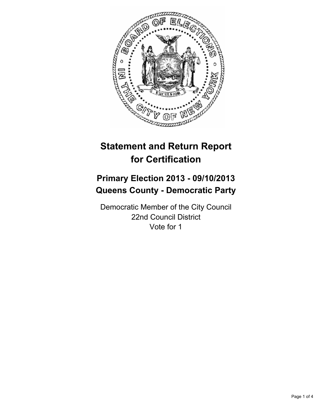

# **Statement and Return Report for Certification**

# **Primary Election 2013 - 09/10/2013 Queens County - Democratic Party**

Democratic Member of the City Council 22nd Council District Vote for 1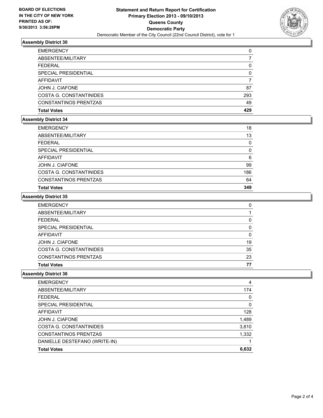

# **Assembly District 30**

| <b>EMERGENCY</b>             | 0   |
|------------------------------|-----|
| ABSENTEE/MILITARY            |     |
| <b>FEDERAL</b>               | 0   |
| SPECIAL PRESIDENTIAL         | 0   |
| AFFIDAVIT                    |     |
| JOHN J. CIAFONE              | 87  |
| COSTA G. CONSTANTINIDES      | 293 |
| <b>CONSTANTINOS PRENTZAS</b> | 49  |
| <b>Total Votes</b>           | 429 |

# **Assembly District 34**

| 18  |
|-----|
| 13  |
| 0   |
| 0   |
| 6   |
| 99  |
| 186 |
| 64  |
| 349 |
|     |

#### **Assembly District 35**

| <b>EMERGENCY</b>             | 0        |
|------------------------------|----------|
| ABSENTEE/MILITARY            |          |
| <b>FEDERAL</b>               | 0        |
| SPECIAL PRESIDENTIAL         | $\Omega$ |
| AFFIDAVIT                    | $\Omega$ |
| JOHN J. CIAFONE              | 19       |
| COSTA G. CONSTANTINIDES      | 35       |
| <b>CONSTANTINOS PRENTZAS</b> | 23       |
| <b>Total Votes</b>           | 77       |

# **Assembly District 36**

| <b>EMERGENCY</b>              | 4     |
|-------------------------------|-------|
| ABSENTEE/MILITARY             | 174   |
| <b>FEDERAL</b>                | 0     |
| SPECIAL PRESIDENTIAL          | 0     |
| AFFIDAVIT                     | 128   |
| JOHN J. CIAFONE               | 1,489 |
| COSTA G. CONSTANTINIDES       | 3,810 |
| <b>CONSTANTINOS PRENTZAS</b>  | 1,332 |
| DANIELLE DESTEFANO (WRITE-IN) |       |
| <b>Total Votes</b>            | 6,632 |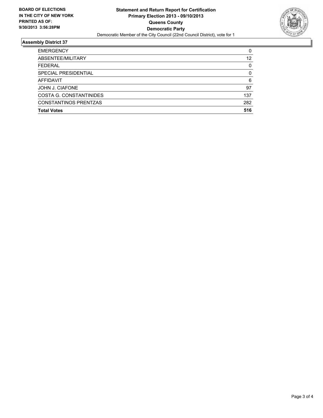

# **Assembly District 37**

| <b>EMERGENCY</b>             | 0        |
|------------------------------|----------|
| ABSENTEE/MILITARY            | 12       |
| <b>FEDERAL</b>               | $\Omega$ |
| SPECIAL PRESIDENTIAL         | 0        |
| AFFIDAVIT                    | 6        |
| <b>JOHN J. CIAFONE</b>       | 97       |
| COSTA G. CONSTANTINIDES      | 137      |
| <b>CONSTANTINOS PRENTZAS</b> | 282      |
| <b>Total Votes</b>           | 516      |